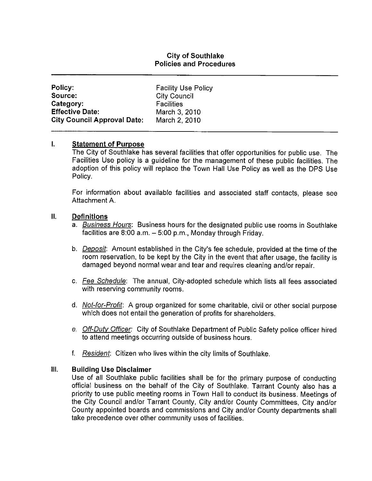## **City of Southlake Policies and Procedures**

| Policy:                            | <b>Facility Use Policy</b> |
|------------------------------------|----------------------------|
| Source:                            | <b>City Council</b>        |
| Category:                          | <b>Facilities</b>          |
| <b>Effective Date:</b>             | March 3, 2010              |
| <b>City Council Approval Date:</b> | March 2, 2010              |

### I. **Statement of Purpose**

The City of Southlake has several facilities that offer opportunities for public use. The Facilities Use policy is a guideline for the management of these public facilities. The adoption of this policy will replace the Town Hall Use Policy as well as the DPS Use Policy.

For information about available facilities and associated staff contacts, please see Attachment A.

### Ш. **Definitions**

- a. Business Hours: Business hours for the designated public use rooms in Southlake facilities are  $8:00$  a.m.  $-5:00$  p.m., Monday through Friday.
- b. *Deposit:* Amount established in the City's fee schedule, provided at the time of the room reservation, to be kept by the City in the event that after usage, the facility is damaged beyond normal wear and tear and requires cleaning and/or repair.
- c. Fee Schedule: The annual, City-adopted schedule which lists all fees associated with reserving community rooms.
- d. *Not-for-Profit*: A group organized for some charitable, civil or other social purpose which does not entail the generation of profits for shareholders.
- e. Off-Duty Officer: City of Southlake Department of Public Safety police officer hired to attend meetings occurring outside of business hours.
- f. Resident: Citizen who lives within the city limits of Southlake.

#### III. **Building Use Disclaimer**

Use of all Southlake public facilities shall be for the primary purpose of conducting official business on the behalf of the City of Southlake. Tarrant County also has a priority to use public meeting rooms in Town Hall to conduct its business. Meetings of the City Council and/or Tarrant County, City and/or County Committees, City and/or County appointed boards and commissions and City and/or County departments shall take precedence over other community uses of facilities.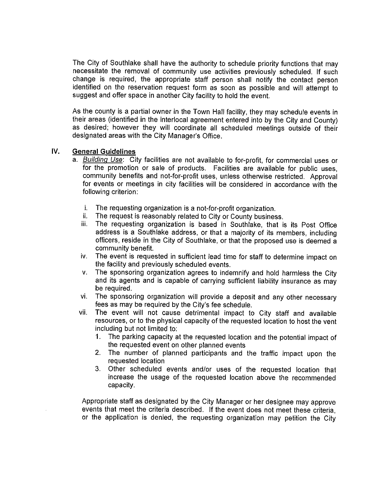The City of Southlake shall have the authority to schedule priority functions that may necessitate the removal of community use activities previously scheduled. If such change is required, the appropriate staff person shall notify the contact person identified on the reservation request form as soon as possible and will attempt to suggest and offer space in another City facility to hold the event.

As the county is a partial owner in the Town Hall facility, they may schedule events in their areas (identified in the interlocal agreement entered into by the City and County) as desired; however they will coordinate all scheduled meetings outside of their designated areas with the City Manager's Office.

### IV. **General Guidelines**

- a. Building Use: City facilities are not available to for-profit, for commercial uses or for the promotion or sale of products. Facilities are available for public uses, community benefits and not-for-profit uses, unless otherwise restricted. Approval for events or meetings in city facilities will be considered in accordance with the following criterion:
	- j. The requesting organization is a not-for-profit organization.
	- ii. The request is reasonably related to City or County business.
	- The requesting organization is based in Southlake, that is its Post Office iii. address is a Southlake address, or that a majority of its members, including officers, reside in the City of Southlake, or that the proposed use is deemed a community benefit.
	- The event is requested in sufficient lead time for staff to determine impact on iv. the facility and previously scheduled events.
	- The sponsoring organization agrees to indemnify and hold harmless the City V. and its agents and is capable of carrying sufficient liability insurance as may be required.
	- The sponsoring organization will provide a deposit and any other necessary vi. fees as may be required by the City's fee schedule.
	- The event will not cause detrimental impact to City staff and available vii. resources, or to the physical capacity of the requested location to host the vent including but not limited to:
		- 1. The parking capacity at the requested location and the potential impact of the requested event on other planned events
		- The number of planned participants and the traffic impact upon the  $2<sub>1</sub>$ requested location
		- 3. Other scheduled events and/or uses of the requested location that increase the usage of the requested location above the recommended capacity.

Appropriate staff as designated by the City Manager or her designee may approve events that meet the criteria described. If the event does not meet these criteria. or the application is denied, the requesting organization may petition the City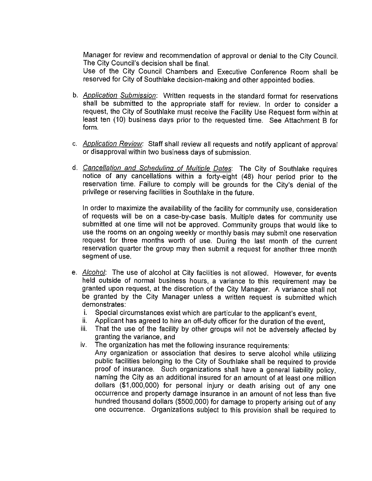Manager for review and recommendation of approval or denial to the City Council. The City Council's decision shall be final.

Use of the City Council Chambers and Executive Conference Room shall be reserved for City of Southlake decision-making and other appointed bodies.

- b. Application Submission: Written requests in the standard format for reservations shall be submitted to the appropriate staff for review. In order to consider a request, the City of Southlake must receive the Facility Use Request form within at least ten (10) business days prior to the requested time. See Attachment B for form.
- c. Application Review: Staff shall review all requests and notify applicant of approval or disapproval within two business days of submission.
- d. Cancellation and Scheduling of Multiple Dates: The City of Southlake requires notice of any cancellations within a forty-eight (48) hour period prior to the reservation time. Failure to comply will be grounds for the City's denial of the privilege or reserving facilities in Southlake in the future.

In order to maximize the availability of the facility for community use, consideration of requests will be on a case-by-case basis. Multiple dates for community use submitted at one time will not be approved. Community groups that would like to use the rooms on an ongoing weekly or monthly basis may submit one reservation request for three months worth of use. During the last month of the current reservation quarter the group may then submit a request for another three month segment of use.

- e. Alcohol: The use of alcohol at City facilities is not allowed. However, for events held outside of normal business hours, a variance to this requirement may be granted upon request, at the discretion of the City Manager. A variance shall not be granted by the City Manager unless a written request is submitted which demonstrates:
	- Special circumstances exist which are particular to the applicant's event, i.
	- Applicant has agreed to hire an off-duty officer for the duration of the event, ii.
	- That the use of the facility by other groups will not be adversely affected by iii. granting the variance, and
	- iv. The organization has met the following insurance requirements:
		- Any organization or association that desires to serve alcohol while utilizing public facilities belonging to the City of Southlake shall be required to provide proof of insurance. Such organizations shall have a general liability policy, naming the City as an additional insured for an amount of at least one million dollars (\$1,000,000) for personal injury or death arising out of any one occurrence and property damage insurance in an amount of not less than five hundred thousand dollars (\$500,000) for damage to property arising out of any one occurrence. Organizations subject to this provision shall be required to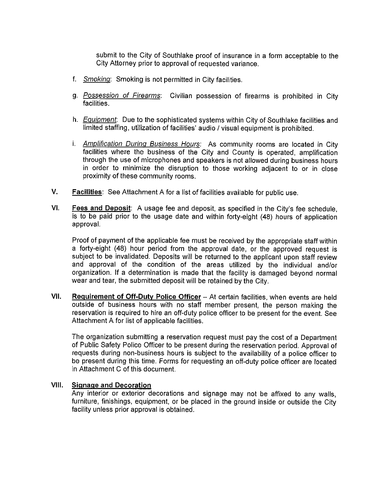submit to the City of Southlake proof of insurance in a form acceptable to the City Attorney prior to approval of requested variance.

- f. Smoking: Smoking is not permitted in City facilities.
- g. Possession of Firearms: Civilian possession of firearms is prohibited in City facilities.
- h. *Equipment*: Due to the sophisticated systems within City of Southlake facilities and limited staffing, utilization of facilities' audio / visual equipment is prohibited.
- i. Amplification During Business Hours: As community rooms are located in City facilities where the business of the City and County is operated, amplification through the use of microphones and speakers is not allowed during business hours in order to minimize the disruption to those working adjacent to or in close proximity of these community rooms.
- $V_{\perp}$ Facilities: See Attachment A for a list of facilities available for public use.
- VI. **Fees and Deposit:** A usage fee and deposit, as specified in the City's fee schedule, is to be paid prior to the usage date and within forty-eight (48) hours of application approval.

Proof of payment of the applicable fee must be received by the appropriate staff within a forty-eight (48) hour period from the approval date, or the approved request is subject to be invalidated. Deposits will be returned to the applicant upon staff review and approval of the condition of the areas utilized by the individual and/or organization. If a determination is made that the facility is damaged beyond normal wear and tear, the submitted deposit will be retained by the City.

VII. Requirement of Off-Duty Police Officer - At certain facilities, when events are held outside of business hours with no staff member present, the person making the reservation is required to hire an off-duty police officer to be present for the event. See Attachment A for list of applicable facilities.

The organization submitting a reservation request must pay the cost of a Department of Public Safety Police Officer to be present during the reservation period. Approval of requests during non-business hours is subject to the availability of a police officer to be present during this time. Forms for requesting an off-duty police officer are located in Attachment C of this document.

### VIII. **Signage and Decoration**

Any interior or exterior decorations and signage may not be affixed to any walls, furniture, finishings, equipment, or be placed in the ground inside or outside the City facility unless prior approval is obtained.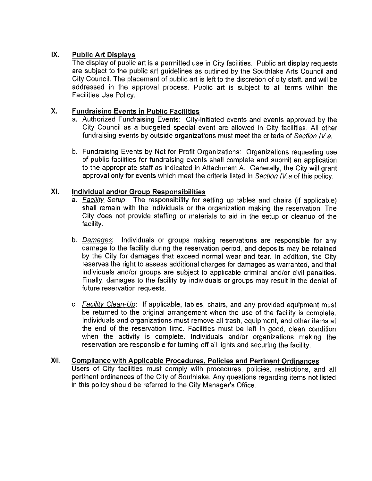### IX. **Public Art Displays**

The display of public art is a permitted use in City facilities. Public art display requests are subject to the public art guidelines as outlined by the Southlake Arts Council and City Council. The placement of public art is left to the discretion of city staff, and will be addressed in the approval process. Public art is subject to all terms within the Facilities Use Policy.

### Χ. **Fundraising Events in Public Facilities**

- a. Authorized Fundraising Events: City-initiated events and events approved by the City Council as a budgeted special event are allowed in City facilities. All other fundraising events by outside organizations must meet the criteria of Section IV.a.
- b. Fundraising Events by Not-for-Profit Organizations: Organizations requesting use of public facilities for fundraising events shall complete and submit an application to the appropriate staff as indicated in Attachment A. Generally, the City will grant approval only for events which meet the criteria listed in Section IV a of this policy.

### XI. **Individual and/or Group Responsibilities**

- a. *Facility Setup*: The responsibility for setting up tables and chairs (if applicable) shall remain with the individuals or the organization making the reservation. The City does not provide staffing or materials to aid in the setup or cleanup of the facility.
- b. Damages: Individuals or groups making reservations are responsible for any damage to the facility during the reservation period, and deposits may be retained by the City for damages that exceed normal wear and tear. In addition, the City reserves the right to assess additional charges for damages as warranted, and that individuals and/or groups are subject to applicable criminal and/or civil penalties. Finally, damages to the facility by individuals or groups may result in the denial of future reservation requests.
- c. *Facility Clean-Up*: If applicable, tables, chairs, and any provided equipment must be returned to the original arrangement when the use of the facility is complete. Individuals and organizations must remove all trash, equipment, and other items at the end of the reservation time. Facilities must be left in good, clean condition when the activity is complete. Individuals and/or organizations making the reservation are responsible for turning off all lights and securing the facility.
- XII. **Compliance with Applicable Procedures, Policies and Pertinent Ordinances** Users of City facilities must comply with procedures, policies, restrictions, and all pertinent ordinances of the City of Southlake. Any questions regarding items not listed in this policy should be referred to the City Manager's Office.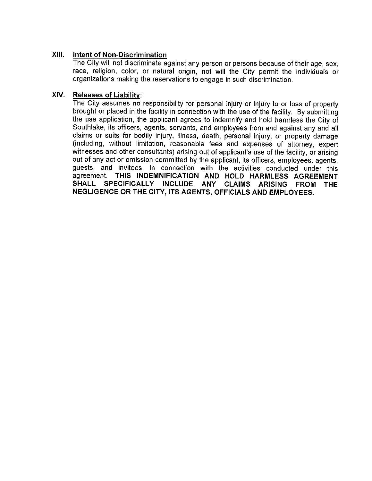### XIII. Intent of Non-Discrimination

The City will not discriminate against any person or persons because of their age, sex, race, religion, color, or natural origin, not will the City permit the individuals or organizations making the reservations to engage in such discrimination.

### XIV. **Releases of Liability:**

The City assumes no responsibility for personal injury or injury to or loss of property brought or placed in the facility in connection with the use of the facility. By submitting the use application, the applicant agrees to indemnify and hold harmless the City of Southlake, its officers, agents, servants, and employees from and against any and all claims or suits for bodily injury, illness, death, personal injury, or property damage (including, without limitation, reasonable fees and expenses of attorney, expert witnesses and other consultants) arising out of applicant's use of the facility, or arising out of any act or omission committed by the applicant, its officers, employees, agents, guests, and invitees, in connection with the activities conducted under this agreement. THIS INDEMNIFICATION AND HOLD HARMLESS AGREEMENT **SHALL SPECIFICALLY INCLUDE ANY CLAIMS ARISING FROM THE** NEGLIGENCE OR THE CITY, ITS AGENTS, OFFICIALS AND EMPLOYEES.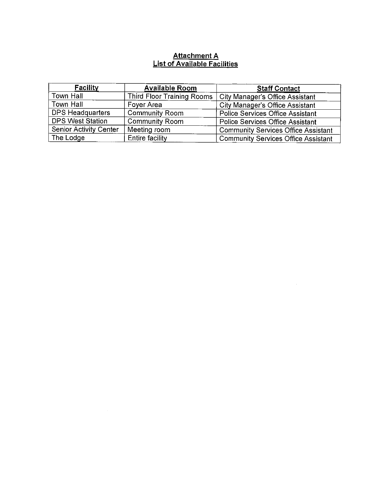# Attachment A<br>List of Available Facilities

| <b>Facility</b>               | <b>Available Room</b>      | <b>Staff Contact</b>                       |
|-------------------------------|----------------------------|--------------------------------------------|
| Town Hall                     | Third Floor Training Rooms | <b>City Manager's Office Assistant</b>     |
| Town Hall                     | Foyer Area                 | City Manager's Office Assistant            |
| <b>DPS Headquarters</b>       | <b>Community Room</b>      | <b>Police Services Office Assistant</b>    |
| <b>DPS West Station</b>       | <b>Community Room</b>      | <b>Police Services Office Assistant</b>    |
| <b>Senior Activity Center</b> | Meeting room               | <b>Community Services Office Assistant</b> |
| The Lodge                     | <b>Entire facility</b>     | <b>Community Services Office Assistant</b> |

 $\label{eq:2.1} \frac{1}{\sqrt{2}}\left(\frac{1}{\sqrt{2}}\right)^{2} \left(\frac{1}{\sqrt{2}}\right)^{2} \left(\frac{1}{\sqrt{2}}\right)^{2} \left(\frac{1}{\sqrt{2}}\right)^{2} \left(\frac{1}{\sqrt{2}}\right)^{2} \left(\frac{1}{\sqrt{2}}\right)^{2} \left(\frac{1}{\sqrt{2}}\right)^{2} \left(\frac{1}{\sqrt{2}}\right)^{2} \left(\frac{1}{\sqrt{2}}\right)^{2} \left(\frac{1}{\sqrt{2}}\right)^{2} \left(\frac{1}{\sqrt{2}}\right)^{2} \left(\$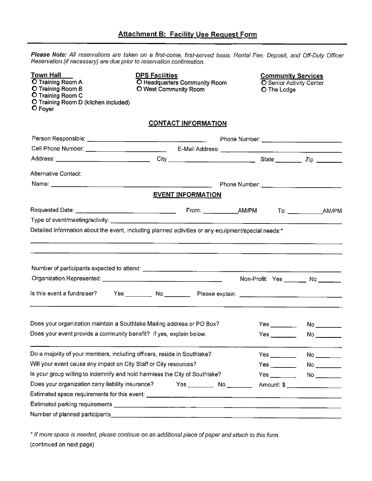Please Note: All reservations are taken on a first-come, first-served basis. Rental Fee, Deposit, and Off-Duty Officer Reservation (if necessary) are due prior to reservation confirmation.

| <b>Town Hall</b><br><b>O</b> Training Room A<br><b>O Training Room B</b><br>O Training Room C<br>O Training Room D (kitchen included)<br>$O$ Foyer | <b>DPS Facilities</b><br>O Headquarters Community Room<br>O West Community Room | <b>Community Services</b><br><b>O</b> Senior Activity Center<br><b>O</b> The Lodge |                                  |
|----------------------------------------------------------------------------------------------------------------------------------------------------|---------------------------------------------------------------------------------|------------------------------------------------------------------------------------|----------------------------------|
|                                                                                                                                                    | <b>CONTACT INFORMATION</b>                                                      |                                                                                    |                                  |
|                                                                                                                                                    |                                                                                 |                                                                                    |                                  |
|                                                                                                                                                    |                                                                                 |                                                                                    |                                  |
|                                                                                                                                                    |                                                                                 |                                                                                    |                                  |
| Alternative Contact:                                                                                                                               |                                                                                 |                                                                                    |                                  |
|                                                                                                                                                    |                                                                                 |                                                                                    |                                  |
|                                                                                                                                                    | <b>EVENT INFORMATION</b>                                                        |                                                                                    |                                  |
|                                                                                                                                                    |                                                                                 |                                                                                    |                                  |
|                                                                                                                                                    |                                                                                 |                                                                                    |                                  |
|                                                                                                                                                    |                                                                                 | Non-Profit: Yes ______ No _____                                                    |                                  |
| Is this event a fundraiser?                                                                                                                        |                                                                                 |                                                                                    |                                  |
| Does your organization maintain a Southlake Mailing address or PO Box?                                                                             |                                                                                 |                                                                                    | No                               |
| Does your event provide a community benefit? If yes, explain below.                                                                                |                                                                                 |                                                                                    |                                  |
| Do a majority of your members, including officers, reside in Southlake?                                                                            |                                                                                 | $Yes \_\_$                                                                         | $No \underline{\hspace{1cm}}$    |
| Will your event cause any impact on City Staff or City resources?                                                                                  |                                                                                 |                                                                                    |                                  |
| Is your group willing to indemnify and hold harmless the City of Southlake?                                                                        |                                                                                 |                                                                                    |                                  |
| Does your organization carry liability insurance?                                                                                                  | Yes _________ No ________                                                       |                                                                                    | Amount: \$ _____________________ |
|                                                                                                                                                    |                                                                                 |                                                                                    |                                  |
|                                                                                                                                                    |                                                                                 |                                                                                    |                                  |
|                                                                                                                                                    |                                                                                 |                                                                                    |                                  |
|                                                                                                                                                    |                                                                                 |                                                                                    |                                  |

\* If more space is needed, please continue on an additional piece of paper and attach to this form. (continued on next page)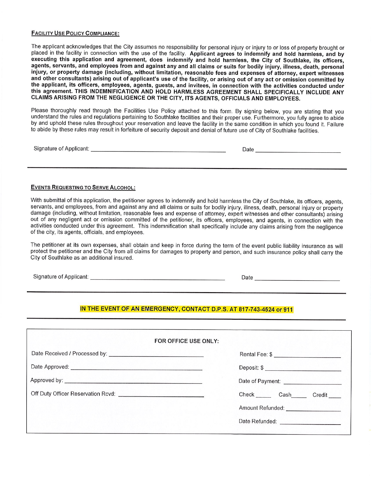## **FACILITY USE POLICY COMPLIANCE:**

The applicant acknowledges that the City assumes no responsibility for personal injury or injury to or loss of property brought or placed in the facility in connection with the use of the facility. Applicant agrees to indemnify and hold harmless, and by executing this application and agreement, does indemnify and hold harmless, the City of Southlake, its officers, agents, servants, and employees from and against any and all claims or suits for bodily injury, illness, death, personal injury, or property damage (including, without limitation, reasonable fees and expenses of attorney, expert witnesses and other consultants) arising out of applicant's use of the facility, or arising out of any act or omission committed by the applicant, its officers, employees, agents, guests, and invitees, in connection with the activities conducted under this agreement. THIS INDEMNIFICATION AND HOLD HARMLESS AGREEMENT SHALL SPECIFICALLY INCLUDE ANY CLAIMS ARISING FROM THE NEGLIGENCE OR THE CITY, ITS AGENTS, OFFICIALS AND EMPLOYEES.

Please thoroughly read through the Facilities Use Policy attached to this form. By signing below, you are stating that you understand the rules and regulations pertaining to Southlake facilities and their proper use. Furthermore, you fully agree to abide by and uphold these rules throughout your reservation and leave the facility in the same condition in which you found it. Failure to abide by these rules may result in forfeiture of security deposit and denial of future use of City of Southlake facilities.

| Signature of Applicant: | Jate |
|-------------------------|------|
|                         |      |

## **EVENTS REQUESTING TO SERVE ALCOHOL:**

With submittal of this application, the petitioner agrees to indemnify and hold harmless the City of Southlake, its officers, agents, servants, and employees, from and against any and all claims or suits for bodily injury, illness, death, personal injury or property damage (including, without limitation, reasonable fees and expense of attorney, expert witnesses and other consultants) arising out of any negligent act or omission committed of the petitioner, its officers, employees, and agents, in connection with the activities conducted under this agreement. This indemnification shall specifically include any claims arising from the negligence of the city, its agents, officials, and employees.

The petitioner at its own expenses, shall obtain and keep in force during the term of the event public liability insurance as will protect the petitioner and the City from all claims for damages to property and person, and such insurance policy shall carry the City of Southlake as an additional insured.

## IN THE EVENT OF AN EMERGENCY, CONTACT D.P.S. AT 817-743-4524 or 911

| FOR OFFICE USE ONLY: |                                           |  |
|----------------------|-------------------------------------------|--|
|                      |                                           |  |
|                      |                                           |  |
|                      |                                           |  |
|                      | Check ______ Cash______ Credit ____       |  |
|                      | Amount Refunded: <b>Amount Refunded</b> : |  |
|                      | Date Refunded: ________________________   |  |
|                      |                                           |  |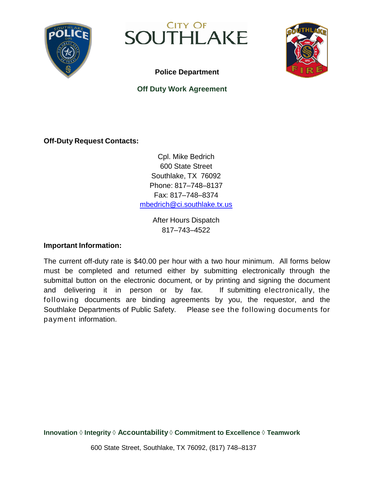

SOUTHLAKE



**Police Department**

## **Off Duty Work Agreement**

**Off-Duty Request Contacts:**

Cpl. Mike Bedrich 600 State Street Southlake, TX 76092 Phone: 817–748–8137 Fax: 817–748–8374 [mbedrich@ci.southlake.tx.us](mailto:mbedrich@ci.southlake.tx.us)

> After Hours Dispatch 817–743–4522

## **Important Information:**

The current off-duty rate is \$40.00 per hour with a two hour minimum. All forms below must be completed and returned either by submitting electronically through the submittal button on the electronic document, or by printing and signing the document and delivering it in person or by fax. If submitting electronically, the following documents are binding agreements by you, the requestor, and the Southlake Departments of Public Safety. Please see the following documents for payment information.

**Innovation** ◊ **Integrity** ◊ **Accountability** ◊ **Commitment to Excellence** ◊ **Teamwork**

600 State Street, Southlake, TX 76092, (817) 748–8137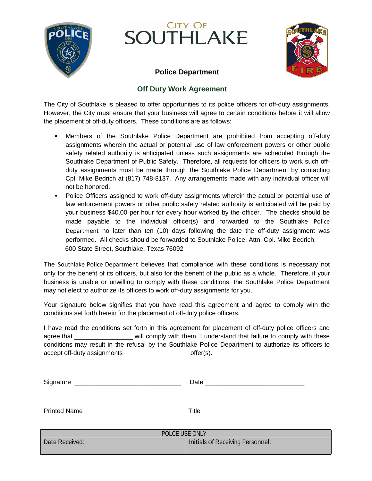

## **CITY OF** SOUTHLAKE



## **Police Department**

## **Off Duty Work Agreement**

The City of Southlake is pleased to offer opportunities to its police officers for off-duty assignments. However, the City must ensure that your business will agree to certain conditions before it will allow the placement of off-duty officers. These conditions are as follows:

- Members of the Southlake Police Department are prohibited from accepting off-duty assignments wherein the actual or potential use of law enforcement powers or other public safety related authority is anticipated unless such assignments are scheduled through the Southlake Department of Public Safety. Therefore, all requests for officers to work such offduty assignments must be made through the Southlake Police Department by contacting Cpl. Mike Bedrich at (817) 748-8137. Any arrangements made with any individual officer will not be honored.
- Police Officers assigned to work off-duty assignments wherein the actual or potential use of law enforcement powers or other public safety related authority is anticipated will be paid by your business \$40.00 per hour for every hour worked by the officer. The checks should be made payable to the individual officer(s) and forwarded to the Southlake Police Department no later than ten (10) days following the date the off-duty assignment was performed. All checks should be forwarded to Southlake Police, Attn: Cpl. Mike Bedrich, 600 State Street, Southlake, Texas 76092

The Southlake Police Department believes that compliance with these conditions is necessary not only for the benefit of its officers, but also for the benefit of the public as a whole. Therefore, if your business is unable or unwilling to comply with these conditions, the Southlake Police Department may not elect to authorize its officers to work off-duty assignments for you.

Your signature below signifies that you have read this agreement and agree to comply with the conditions set forth herein for the placement of off-duty police officers.

I have read the conditions set forth in this agreement for placement of off-duty police officers and agree that will comply with them. I understand that failure to comply with these conditions may result in the refusal by the Southlake Police Department to authorize its officers to accept off-duty assignments offer(s).

| Signature           | Date  |  |  |
|---------------------|-------|--|--|
|                     |       |  |  |
|                     |       |  |  |
| <b>Printed Name</b> | Title |  |  |

| POLCE USE ONLY                                     |  |  |
|----------------------------------------------------|--|--|
| Initials of Receiving Personnel:<br>Date Received: |  |  |